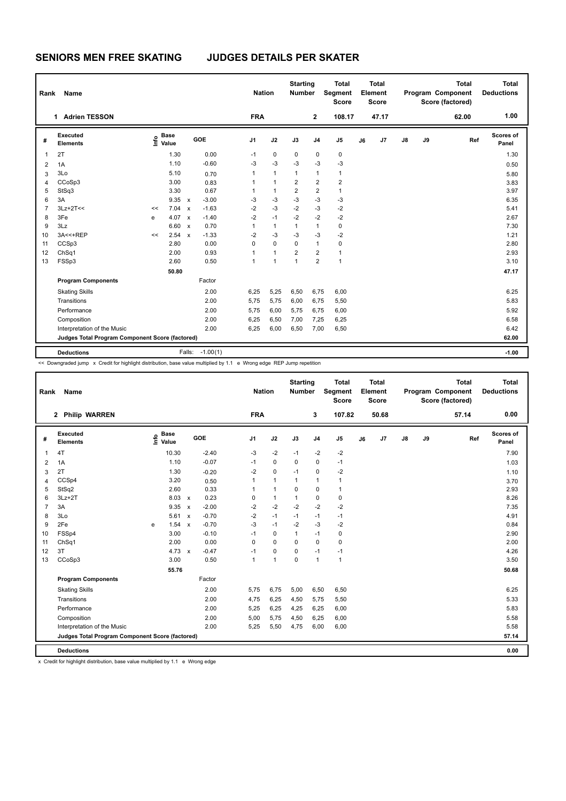## **SENIORS MEN FREE SKATING JUDGES DETAILS PER SKATER**

| 1.00<br><b>FRA</b><br>$\mathbf{2}$<br><b>Adrien TESSON</b><br>108.17<br>47.17<br>62.00<br>1.<br><b>Base</b><br>Scores of<br>Executed<br>Info<br>GOE<br>J2<br>J3<br>J <sub>5</sub><br>J8<br>J9<br>J1<br>J <sub>4</sub><br>J <sub>7</sub><br>Ref<br>#<br>J6<br>Value<br><b>Elements</b><br>Panel<br>2T<br>1.30<br>0.00<br>$\mathbf 0$<br>$\mathbf 0$<br>$\mathbf 0$<br>0<br>1.30<br>$\mathbf{1}$<br>$-1$<br>1.10<br>$-0.60$<br>$-3$<br>-3<br>-3<br>$-3$<br>$-3$<br>0.50<br>1A<br>2<br>$\mathbf{1}$<br>3Lo<br>5.10<br>1<br>1<br>$\mathbf{1}$<br>1<br>0.70<br>5.80<br>3<br>3.00<br>$\overline{2}$<br>$\overline{2}$<br>2<br>CCoSp3<br>1<br>1<br>0.83<br>3.83<br>4<br>0.67<br>$\overline{\mathbf{c}}$<br>2<br>StSq3<br>3.30<br>$\mathbf{1}$<br>$\mathbf{1}$<br>3.97<br>5<br>1<br>$-3$<br>3A<br>$9.35 \times$<br>$-3.00$<br>$-3$<br>$-3$<br>$-3$<br>6<br>-3<br>6.35<br>$-2$<br>$-3$<br>$-2$<br>$3Lz+2T<<$<br>7.04<br>$-1.63$<br>$-3$<br>$-2$<br>$\overline{7}$<br>5.41<br>$\mathsf{x}$<br><<<br>$-2$<br>$-1$<br>$-2$<br>$-2$<br>$-2$<br>3Fe<br>$-1.40$<br>4.07<br>2.67<br>8<br>$\boldsymbol{\mathsf{x}}$<br>e<br>3Lz<br>0.70<br>$\mathbf 0$<br>7.30<br>9<br>6.60<br>$\mathbf{1}$<br>$\mathsf{x}$<br>$\mathbf{1}$<br>1<br>1<br>$-2$<br>$-3$<br>$-3$<br>3A<<+REP<br>2.54<br>$-1.33$<br>$-3$<br>$-2$<br>1.21<br>10<br>$\boldsymbol{\mathsf{x}}$<br><<<br>2.80<br>0.00<br>0<br>$\mathbf 0$<br>0<br>0<br>CCSp3<br>2.80<br>1<br>11<br>0.93<br>$\mathbf{1}$<br>$\overline{2}$<br>$\overline{2}$<br>ChSq1<br>2.00<br>1<br>2.93<br>12<br>1<br>$\overline{2}$<br>2.60<br>0.50<br>$\mathbf{1}$<br>1<br>$\mathbf{1}$<br>3.10<br>FSSp3<br>1<br>13<br>50.80<br>47.17<br><b>Program Components</b><br>Factor<br>5,25<br><b>Skating Skills</b><br>2.00<br>6,25<br>6,50<br>6,75<br>6,00<br>6.25<br>Transitions<br>5,75<br>5,50<br>5.83<br>2.00<br>5,75<br>6,00<br>6,75<br>Performance<br>2.00<br>5,75<br>6,00<br>6,00<br>5.92<br>5,75<br>6,75<br>Composition<br>2.00<br>6,50<br>6,25<br>6.58<br>6,25<br>7,00<br>7,25<br>Interpretation of the Music<br>2.00<br>6,25<br>6,00<br>6.42<br>6,50<br>7,00<br>6,50<br>62.00<br>Judges Total Program Component Score (factored)<br><b>Deductions</b><br>$-1.00(1)$<br>Falls:<br>$-1.00$ | Rank | Name |  |  |  |  |  | <b>Nation</b> | <b>Starting</b><br><b>Number</b> |  | <b>Total</b><br>Segment<br><b>Score</b> |  | <b>Total</b><br>Element<br><b>Score</b> |  | <b>Total</b><br>Program Component<br>Score (factored) | <b>Total</b><br><b>Deductions</b> |
|----------------------------------------------------------------------------------------------------------------------------------------------------------------------------------------------------------------------------------------------------------------------------------------------------------------------------------------------------------------------------------------------------------------------------------------------------------------------------------------------------------------------------------------------------------------------------------------------------------------------------------------------------------------------------------------------------------------------------------------------------------------------------------------------------------------------------------------------------------------------------------------------------------------------------------------------------------------------------------------------------------------------------------------------------------------------------------------------------------------------------------------------------------------------------------------------------------------------------------------------------------------------------------------------------------------------------------------------------------------------------------------------------------------------------------------------------------------------------------------------------------------------------------------------------------------------------------------------------------------------------------------------------------------------------------------------------------------------------------------------------------------------------------------------------------------------------------------------------------------------------------------------------------------------------------------------------------------------------------------------------------------------------------------------------------------------------------------------------------------------------------------------------------------------------------------------------------|------|------|--|--|--|--|--|---------------|----------------------------------|--|-----------------------------------------|--|-----------------------------------------|--|-------------------------------------------------------|-----------------------------------|
|                                                                                                                                                                                                                                                                                                                                                                                                                                                                                                                                                                                                                                                                                                                                                                                                                                                                                                                                                                                                                                                                                                                                                                                                                                                                                                                                                                                                                                                                                                                                                                                                                                                                                                                                                                                                                                                                                                                                                                                                                                                                                                                                                                                                          |      |      |  |  |  |  |  |               |                                  |  |                                         |  |                                         |  |                                                       |                                   |
|                                                                                                                                                                                                                                                                                                                                                                                                                                                                                                                                                                                                                                                                                                                                                                                                                                                                                                                                                                                                                                                                                                                                                                                                                                                                                                                                                                                                                                                                                                                                                                                                                                                                                                                                                                                                                                                                                                                                                                                                                                                                                                                                                                                                          |      |      |  |  |  |  |  |               |                                  |  |                                         |  |                                         |  |                                                       |                                   |
|                                                                                                                                                                                                                                                                                                                                                                                                                                                                                                                                                                                                                                                                                                                                                                                                                                                                                                                                                                                                                                                                                                                                                                                                                                                                                                                                                                                                                                                                                                                                                                                                                                                                                                                                                                                                                                                                                                                                                                                                                                                                                                                                                                                                          |      |      |  |  |  |  |  |               |                                  |  |                                         |  |                                         |  |                                                       |                                   |
|                                                                                                                                                                                                                                                                                                                                                                                                                                                                                                                                                                                                                                                                                                                                                                                                                                                                                                                                                                                                                                                                                                                                                                                                                                                                                                                                                                                                                                                                                                                                                                                                                                                                                                                                                                                                                                                                                                                                                                                                                                                                                                                                                                                                          |      |      |  |  |  |  |  |               |                                  |  |                                         |  |                                         |  |                                                       |                                   |
|                                                                                                                                                                                                                                                                                                                                                                                                                                                                                                                                                                                                                                                                                                                                                                                                                                                                                                                                                                                                                                                                                                                                                                                                                                                                                                                                                                                                                                                                                                                                                                                                                                                                                                                                                                                                                                                                                                                                                                                                                                                                                                                                                                                                          |      |      |  |  |  |  |  |               |                                  |  |                                         |  |                                         |  |                                                       |                                   |
|                                                                                                                                                                                                                                                                                                                                                                                                                                                                                                                                                                                                                                                                                                                                                                                                                                                                                                                                                                                                                                                                                                                                                                                                                                                                                                                                                                                                                                                                                                                                                                                                                                                                                                                                                                                                                                                                                                                                                                                                                                                                                                                                                                                                          |      |      |  |  |  |  |  |               |                                  |  |                                         |  |                                         |  |                                                       |                                   |
|                                                                                                                                                                                                                                                                                                                                                                                                                                                                                                                                                                                                                                                                                                                                                                                                                                                                                                                                                                                                                                                                                                                                                                                                                                                                                                                                                                                                                                                                                                                                                                                                                                                                                                                                                                                                                                                                                                                                                                                                                                                                                                                                                                                                          |      |      |  |  |  |  |  |               |                                  |  |                                         |  |                                         |  |                                                       |                                   |
|                                                                                                                                                                                                                                                                                                                                                                                                                                                                                                                                                                                                                                                                                                                                                                                                                                                                                                                                                                                                                                                                                                                                                                                                                                                                                                                                                                                                                                                                                                                                                                                                                                                                                                                                                                                                                                                                                                                                                                                                                                                                                                                                                                                                          |      |      |  |  |  |  |  |               |                                  |  |                                         |  |                                         |  |                                                       |                                   |
|                                                                                                                                                                                                                                                                                                                                                                                                                                                                                                                                                                                                                                                                                                                                                                                                                                                                                                                                                                                                                                                                                                                                                                                                                                                                                                                                                                                                                                                                                                                                                                                                                                                                                                                                                                                                                                                                                                                                                                                                                                                                                                                                                                                                          |      |      |  |  |  |  |  |               |                                  |  |                                         |  |                                         |  |                                                       |                                   |
|                                                                                                                                                                                                                                                                                                                                                                                                                                                                                                                                                                                                                                                                                                                                                                                                                                                                                                                                                                                                                                                                                                                                                                                                                                                                                                                                                                                                                                                                                                                                                                                                                                                                                                                                                                                                                                                                                                                                                                                                                                                                                                                                                                                                          |      |      |  |  |  |  |  |               |                                  |  |                                         |  |                                         |  |                                                       |                                   |
|                                                                                                                                                                                                                                                                                                                                                                                                                                                                                                                                                                                                                                                                                                                                                                                                                                                                                                                                                                                                                                                                                                                                                                                                                                                                                                                                                                                                                                                                                                                                                                                                                                                                                                                                                                                                                                                                                                                                                                                                                                                                                                                                                                                                          |      |      |  |  |  |  |  |               |                                  |  |                                         |  |                                         |  |                                                       |                                   |
|                                                                                                                                                                                                                                                                                                                                                                                                                                                                                                                                                                                                                                                                                                                                                                                                                                                                                                                                                                                                                                                                                                                                                                                                                                                                                                                                                                                                                                                                                                                                                                                                                                                                                                                                                                                                                                                                                                                                                                                                                                                                                                                                                                                                          |      |      |  |  |  |  |  |               |                                  |  |                                         |  |                                         |  |                                                       |                                   |
|                                                                                                                                                                                                                                                                                                                                                                                                                                                                                                                                                                                                                                                                                                                                                                                                                                                                                                                                                                                                                                                                                                                                                                                                                                                                                                                                                                                                                                                                                                                                                                                                                                                                                                                                                                                                                                                                                                                                                                                                                                                                                                                                                                                                          |      |      |  |  |  |  |  |               |                                  |  |                                         |  |                                         |  |                                                       |                                   |
|                                                                                                                                                                                                                                                                                                                                                                                                                                                                                                                                                                                                                                                                                                                                                                                                                                                                                                                                                                                                                                                                                                                                                                                                                                                                                                                                                                                                                                                                                                                                                                                                                                                                                                                                                                                                                                                                                                                                                                                                                                                                                                                                                                                                          |      |      |  |  |  |  |  |               |                                  |  |                                         |  |                                         |  |                                                       |                                   |
|                                                                                                                                                                                                                                                                                                                                                                                                                                                                                                                                                                                                                                                                                                                                                                                                                                                                                                                                                                                                                                                                                                                                                                                                                                                                                                                                                                                                                                                                                                                                                                                                                                                                                                                                                                                                                                                                                                                                                                                                                                                                                                                                                                                                          |      |      |  |  |  |  |  |               |                                  |  |                                         |  |                                         |  |                                                       |                                   |
|                                                                                                                                                                                                                                                                                                                                                                                                                                                                                                                                                                                                                                                                                                                                                                                                                                                                                                                                                                                                                                                                                                                                                                                                                                                                                                                                                                                                                                                                                                                                                                                                                                                                                                                                                                                                                                                                                                                                                                                                                                                                                                                                                                                                          |      |      |  |  |  |  |  |               |                                  |  |                                         |  |                                         |  |                                                       |                                   |
|                                                                                                                                                                                                                                                                                                                                                                                                                                                                                                                                                                                                                                                                                                                                                                                                                                                                                                                                                                                                                                                                                                                                                                                                                                                                                                                                                                                                                                                                                                                                                                                                                                                                                                                                                                                                                                                                                                                                                                                                                                                                                                                                                                                                          |      |      |  |  |  |  |  |               |                                  |  |                                         |  |                                         |  |                                                       |                                   |
|                                                                                                                                                                                                                                                                                                                                                                                                                                                                                                                                                                                                                                                                                                                                                                                                                                                                                                                                                                                                                                                                                                                                                                                                                                                                                                                                                                                                                                                                                                                                                                                                                                                                                                                                                                                                                                                                                                                                                                                                                                                                                                                                                                                                          |      |      |  |  |  |  |  |               |                                  |  |                                         |  |                                         |  |                                                       |                                   |
|                                                                                                                                                                                                                                                                                                                                                                                                                                                                                                                                                                                                                                                                                                                                                                                                                                                                                                                                                                                                                                                                                                                                                                                                                                                                                                                                                                                                                                                                                                                                                                                                                                                                                                                                                                                                                                                                                                                                                                                                                                                                                                                                                                                                          |      |      |  |  |  |  |  |               |                                  |  |                                         |  |                                         |  |                                                       |                                   |
|                                                                                                                                                                                                                                                                                                                                                                                                                                                                                                                                                                                                                                                                                                                                                                                                                                                                                                                                                                                                                                                                                                                                                                                                                                                                                                                                                                                                                                                                                                                                                                                                                                                                                                                                                                                                                                                                                                                                                                                                                                                                                                                                                                                                          |      |      |  |  |  |  |  |               |                                  |  |                                         |  |                                         |  |                                                       |                                   |
|                                                                                                                                                                                                                                                                                                                                                                                                                                                                                                                                                                                                                                                                                                                                                                                                                                                                                                                                                                                                                                                                                                                                                                                                                                                                                                                                                                                                                                                                                                                                                                                                                                                                                                                                                                                                                                                                                                                                                                                                                                                                                                                                                                                                          |      |      |  |  |  |  |  |               |                                  |  |                                         |  |                                         |  |                                                       |                                   |
|                                                                                                                                                                                                                                                                                                                                                                                                                                                                                                                                                                                                                                                                                                                                                                                                                                                                                                                                                                                                                                                                                                                                                                                                                                                                                                                                                                                                                                                                                                                                                                                                                                                                                                                                                                                                                                                                                                                                                                                                                                                                                                                                                                                                          |      |      |  |  |  |  |  |               |                                  |  |                                         |  |                                         |  |                                                       |                                   |
|                                                                                                                                                                                                                                                                                                                                                                                                                                                                                                                                                                                                                                                                                                                                                                                                                                                                                                                                                                                                                                                                                                                                                                                                                                                                                                                                                                                                                                                                                                                                                                                                                                                                                                                                                                                                                                                                                                                                                                                                                                                                                                                                                                                                          |      |      |  |  |  |  |  |               |                                  |  |                                         |  |                                         |  |                                                       |                                   |
|                                                                                                                                                                                                                                                                                                                                                                                                                                                                                                                                                                                                                                                                                                                                                                                                                                                                                                                                                                                                                                                                                                                                                                                                                                                                                                                                                                                                                                                                                                                                                                                                                                                                                                                                                                                                                                                                                                                                                                                                                                                                                                                                                                                                          |      |      |  |  |  |  |  |               |                                  |  |                                         |  |                                         |  |                                                       |                                   |

<< Downgraded jump x Credit for highlight distribution, base value multiplied by 1.1 e Wrong edge REP Jump repetition

| Rank           | Name                                            |                              | <b>Nation</b>                        |                | <b>Starting</b><br><b>Number</b> | <b>Total</b><br>Segment<br><b>Score</b> | <b>Total</b><br>Element<br>Score |                |    |                | <b>Total</b><br>Program Component<br>Score (factored) | <b>Total</b><br><b>Deductions</b> |       |                    |
|----------------|-------------------------------------------------|------------------------------|--------------------------------------|----------------|----------------------------------|-----------------------------------------|----------------------------------|----------------|----|----------------|-------------------------------------------------------|-----------------------------------|-------|--------------------|
|                | 2 Philip WARREN                                 |                              |                                      | <b>FRA</b>     |                                  |                                         | 3                                | 107.82         |    | 50.68          |                                                       |                                   | 57.14 | 0.00               |
| #              | <b>Executed</b><br><b>Elements</b>              | <b>Base</b><br>١nf٥<br>Value | GOE                                  | J <sub>1</sub> | J2                               | J3                                      | J <sub>4</sub>                   | J <sub>5</sub> | J6 | J <sub>7</sub> | J8                                                    | J9                                | Ref   | Scores of<br>Panel |
| 1              | 4T                                              | 10.30                        | $-2.40$                              | $-3$           | $-2$                             | $-1$                                    | $-2$                             | $-2$           |    |                |                                                       |                                   |       | 7.90               |
| 2              | 1A                                              | 1.10                         | $-0.07$                              | $-1$           | $\mathbf 0$                      | 0                                       | 0                                | $-1$           |    |                |                                                       |                                   |       | 1.03               |
| 3              | 2T                                              | 1.30                         | $-0.20$                              | $-2$           | $\mathbf 0$                      | $-1$                                    | 0                                | $-2$           |    |                |                                                       |                                   |       | 1.10               |
| 4              | CCSp4                                           | 3.20                         | 0.50                                 | $\mathbf{1}$   | $\mathbf{1}$                     | $\mathbf{1}$                            | 1                                | $\mathbf{1}$   |    |                |                                                       |                                   |       | 3.70               |
| 5              | StSq2                                           | 2.60                         | 0.33                                 | 1              | $\mathbf{1}$                     | 0                                       | 0                                | $\mathbf{1}$   |    |                |                                                       |                                   |       | 2.93               |
| 6              | $3Lz + 2T$                                      | 8.03 x                       | 0.23                                 | 0              | $\mathbf{1}$                     | $\mathbf{1}$                            | 0                                | 0              |    |                |                                                       |                                   |       | 8.26               |
| $\overline{7}$ | 3A                                              | 9.35                         | $-2.00$<br>$\boldsymbol{\mathsf{x}}$ | $-2$           | $-2$                             | $-2$                                    | $-2$                             | $-2$           |    |                |                                                       |                                   |       | 7.35               |
| 8              | 3Lo                                             | 5.61                         | $-0.70$<br>$\boldsymbol{\mathsf{x}}$ | $-2$           | $-1$                             | $-1$                                    | $-1$                             | $-1$           |    |                |                                                       |                                   |       | 4.91               |
| 9              | 2Fe                                             | 1.54<br>e                    | $-0.70$<br>$\mathsf{x}$              | $-3$           | $-1$                             | $-2$                                    | $-3$                             | $-2$           |    |                |                                                       |                                   |       | 0.84               |
| 10             | FSSp4                                           | 3.00                         | $-0.10$                              | $-1$           | 0                                | $\mathbf{1}$                            | $-1$                             | 0              |    |                |                                                       |                                   |       | 2.90               |
| 11             | ChSq1                                           | 2.00                         | 0.00                                 | 0              | 0                                | 0                                       | 0                                | $\mathbf 0$    |    |                |                                                       |                                   |       | 2.00               |
| 12             | 3T                                              | 4.73 $\times$                | $-0.47$                              | $-1$           | 0                                | $\Omega$                                | $-1$                             | $-1$           |    |                |                                                       |                                   |       | 4.26               |
| 13             | CCoSp3                                          | 3.00                         | 0.50                                 | $\mathbf{1}$   | $\mathbf{1}$                     | 0                                       | 1                                | $\mathbf{1}$   |    |                |                                                       |                                   |       | 3.50               |
|                |                                                 | 55.76                        |                                      |                |                                  |                                         |                                  |                |    |                |                                                       |                                   |       | 50.68              |
|                | <b>Program Components</b>                       |                              | Factor                               |                |                                  |                                         |                                  |                |    |                |                                                       |                                   |       |                    |
|                | <b>Skating Skills</b>                           |                              | 2.00                                 | 5.75           | 6,75                             | 5,00                                    | 6,50                             | 6,50           |    |                |                                                       |                                   |       | 6.25               |
|                | Transitions                                     |                              | 2.00                                 | 4,75           | 6,25                             | 4,50                                    | 5,75                             | 5,50           |    |                |                                                       |                                   |       | 5.33               |
|                | Performance                                     |                              | 2.00                                 | 5,25           | 6,25                             | 4,25                                    | 6,25                             | 6,00           |    |                |                                                       |                                   |       | 5.83               |
|                | Composition                                     |                              | 2.00                                 | 5.00           | 5,75                             | 4,50                                    | 6.25                             | 6,00           |    |                |                                                       |                                   |       | 5.58               |
|                | Interpretation of the Music                     |                              | 2.00                                 | 5,25           | 5,50                             | 4,75                                    | 6,00                             | 6,00           |    |                |                                                       |                                   |       | 5.58               |
|                | Judges Total Program Component Score (factored) |                              |                                      |                |                                  |                                         |                                  |                |    |                |                                                       |                                   |       | 57.14              |
|                |                                                 |                              |                                      |                |                                  |                                         |                                  |                |    |                |                                                       |                                   |       |                    |
|                | <b>Deductions</b>                               |                              |                                      |                |                                  |                                         |                                  |                |    |                |                                                       |                                   |       | 0.00               |

x Credit for highlight distribution, base value multiplied by 1.1 e Wrong edge